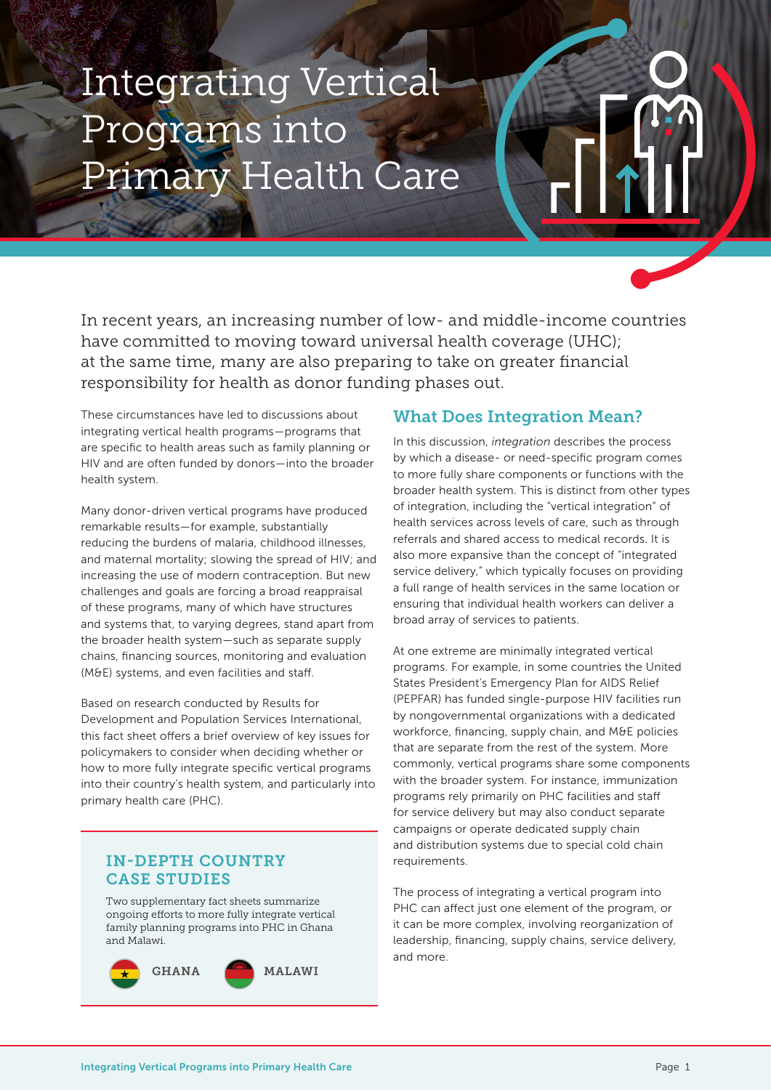# Integrating Vertical Programs into Primary Health Care

In recent years, an increasing number of low- and middle-income countries have committed to moving toward universal health coverage (UHC); at the same time, many are also preparing to take on greater financial responsibility for health as donor funding phases out.

These circumstances have led to discussions about integrating vertical health programs—programs that are specific to health areas such as family planning or HIV and are often funded by donors—into the broader health system.

Many donor-driven vertical programs have produced remarkable results—for example, substantially reducing the burdens of malaria, childhood illnesses, and maternal mortality; slowing the spread of HIV; and increasing the use of modern contraception. But new challenges and goals are forcing a broad reappraisal of these programs, many of which have structures and systems that, to varying degrees, stand apart from the broader health system—such as separate supply chains, financing sources, monitoring and evaluation (M&E) systems, and even facilities and staff.

Based on research conducted by Results for Development and Population Services International, this fact sheet offers a brief overview of key issues for policymakers to consider when deciding whether or how to more fully integrate specific vertical programs into their country's health system, and particularly into primary health care (PHC).

## IN-DEPTH COUNTRY CASE STUDIES

Two supplementary fact sheets summarize ongoing efforts to more fully integrate vertical family planning programs into PHC in Ghana and Malawi.



## What Does Integration Mean?

In this discussion, *integration* describes the process by which a disease- or need-specific program comes to more fully share components or functions with the broader health system. This is distinct from other types of integration, including the "vertical integration" of health services across levels of care, such as through referrals and shared access to medical records. It is also more expansive than the concept of "integrated service delivery," which typically focuses on providing a full range of health services in the same location or ensuring that individual health workers can deliver a broad array of services to patients.

At one extreme are minimally integrated vertical programs. For example, in some countries the United States President's Emergency Plan for AIDS Relief (PEPFAR) has funded single-purpose HIV facilities run by nongovernmental organizations with a dedicated workforce, financing, supply chain, and M&E policies that are separate from the rest of the system. More commonly, vertical programs share some components with the broader system. For instance, immunization programs rely primarily on PHC facilities and staff for service delivery but may also conduct separate campaigns or operate dedicated supply chain and distribution systems due to special cold chain requirements.

The process of integrating a vertical program into PHC can affect just one element of the program, or it can be more complex, involving reorganization of leadership, financing, supply chains, service delivery, and more.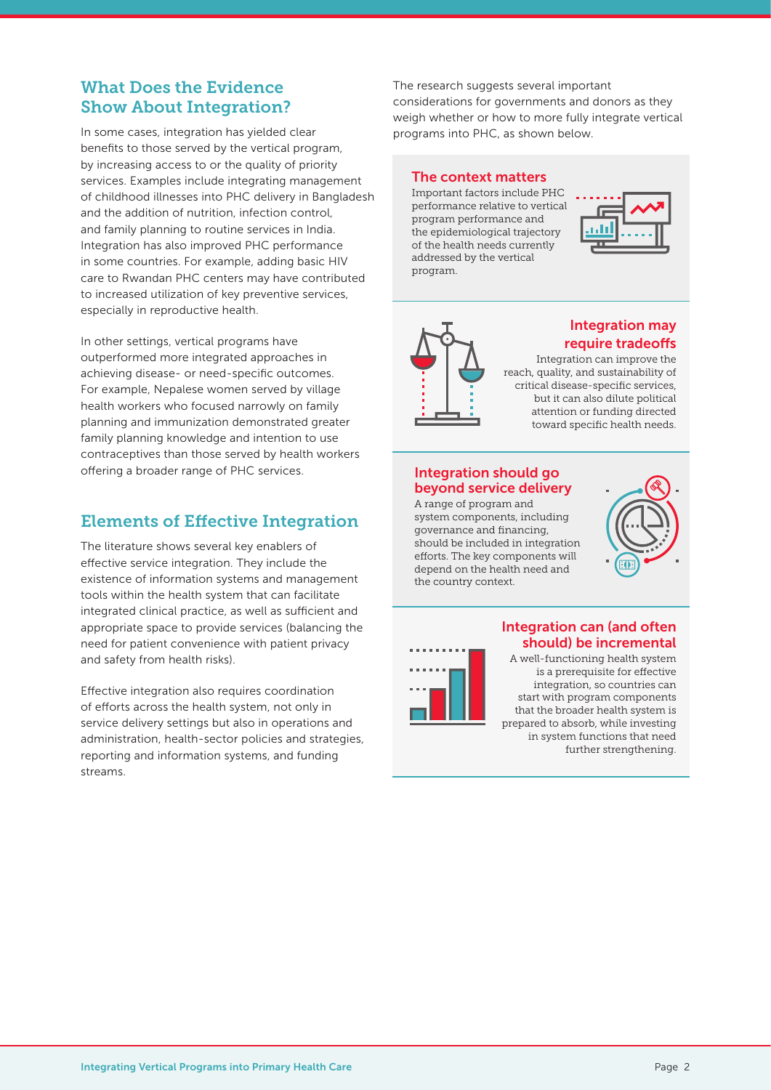# What Does the Evidence Show About Integration?

In some cases, integration has yielded clear benefits to those served by the vertical program, by increasing access to or the quality of priority services. Examples include integrating management of childhood illnesses into PHC delivery in Bangladesh and the addition of nutrition, infection control, and family planning to routine services in India. Integration has also improved PHC performance in some countries. For example, adding basic HIV care to Rwandan PHC centers may have contributed to increased utilization of key preventive services, especially in reproductive health.

In other settings, vertical programs have outperformed more integrated approaches in achieving disease- or need-specific outcomes. For example, Nepalese women served by village health workers who focused narrowly on family planning and immunization demonstrated greater family planning knowledge and intention to use contraceptives than those served by health workers offering a broader range of PHC services.

# Elements of Effective Integration

The literature shows several key enablers of effective service integration. They include the existence of information systems and management tools within the health system that can facilitate integrated clinical practice, as well as sufficient and appropriate space to provide services (balancing the need for patient convenience with patient privacy and safety from health risks).

Effective integration also requires coordination of efforts across the health system, not only in service delivery settings but also in operations and administration, health-sector policies and strategies, reporting and information systems, and funding streams.

The research suggests several important considerations for governments and donors as they weigh whether or how to more fully integrate vertical programs into PHC, as shown below.

#### The context matters

Important factors include PHC performance relative to vertical program performance and the epidemiological trajectory of the health needs currently addressed by the vertical program.





## Integration may require tradeoffs

Integration can improve the reach, quality, and sustainability of critical disease-specific services, but it can also dilute political attention or funding directed toward specific health needs.

## Integration should go beyond service delivery

A range of program and system components, including governance and financing, should be included in integration efforts. The key components will depend on the health need and the country context.





## Integration can (and often should) be incremental

A well-functioning health system is a prerequisite for effective integration, so countries can start with program components that the broader health system is prepared to absorb, while investing in system functions that need further strengthening.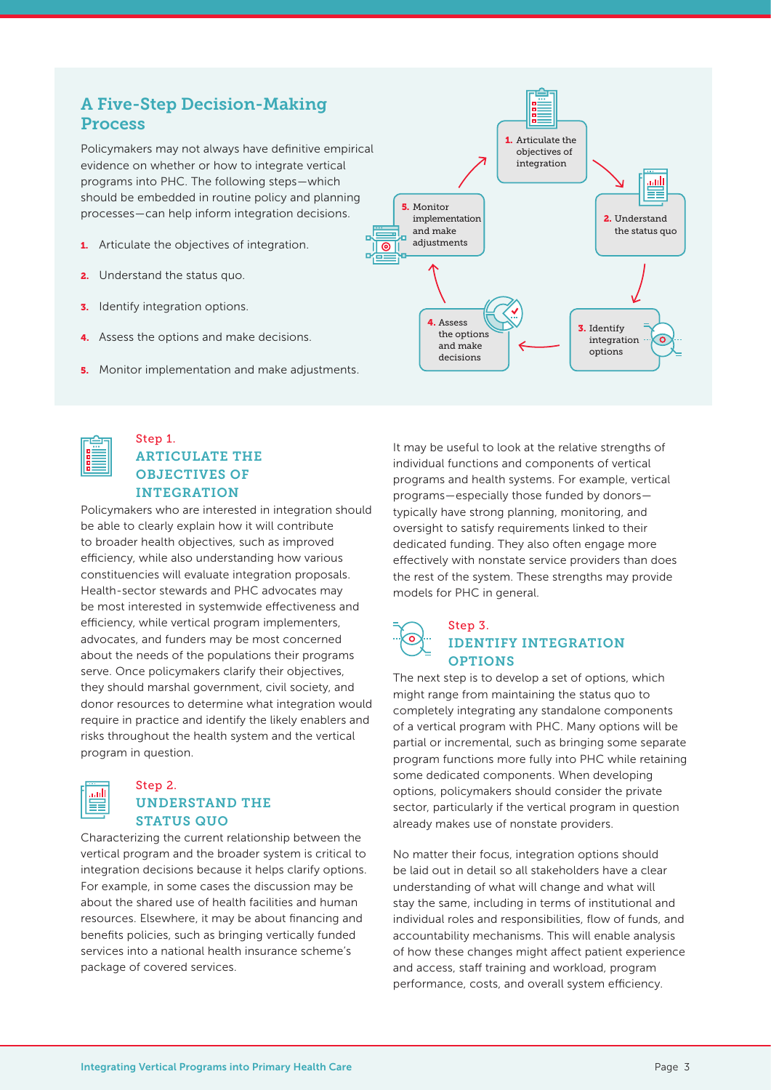# A Five-Step Decision-Making Process

Policymakers may not always have definitive empirical evidence on whether or how to integrate vertical programs into PHC. The following steps—which should be embedded in routine policy and planning processes—can help inform integration decisions.

- **1.** Articulate the objectives of integration.
- **2.** Understand the status quo.
- **3.** Identify integration options.
- 4. Assess the options and make decisions.
- **5.** Monitor implementation and make adjustments.





## Step 1. ARTICULATE THE OBJECTIVES OF INTEGRATION

Policymakers who are interested in integration should be able to clearly explain how it will contribute to broader health objectives, such as improved efficiency, while also understanding how various constituencies will evaluate integration proposals. Health-sector stewards and PHC advocates may be most interested in systemwide effectiveness and efficiency, while vertical program implementers, advocates, and funders may be most concerned about the needs of the populations their programs serve. Once policymakers clarify their objectives, they should marshal government, civil society, and donor resources to determine what integration would require in practice and identify the likely enablers and risks throughout the health system and the vertical program in question.



#### Step 2. UNDERSTAND THE STATUS QUO

Characterizing the current relationship between the vertical program and the broader system is critical to integration decisions because it helps clarify options. For example, in some cases the discussion may be about the shared use of health facilities and human resources. Elsewhere, it may be about financing and benefits policies, such as bringing vertically funded services into a national health insurance scheme's package of covered services.

It may be useful to look at the relative strengths of individual functions and components of vertical programs and health systems. For example, vertical programs—especially those funded by donors typically have strong planning, monitoring, and oversight to satisfy requirements linked to their dedicated funding. They also often engage more effectively with nonstate service providers than does the rest of the system. These strengths may provide models for PHC in general.

## Step 3. IDENTIFY INTEGRATION **OPTIONS**

The next step is to develop a set of options, which might range from maintaining the status quo to completely integrating any standalone components of a vertical program with PHC. Many options will be partial or incremental, such as bringing some separate program functions more fully into PHC while retaining some dedicated components. When developing options, policymakers should consider the private sector, particularly if the vertical program in question already makes use of nonstate providers.

No matter their focus, integration options should be laid out in detail so all stakeholders have a clear understanding of what will change and what will stay the same, including in terms of institutional and individual roles and responsibilities, flow of funds, and accountability mechanisms. This will enable analysis of how these changes might affect patient experience and access, staff training and workload, program performance, costs, and overall system efficiency.